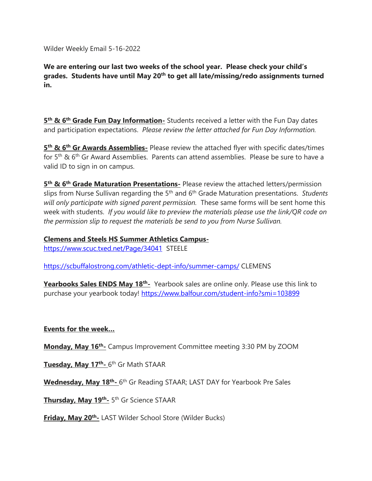Wilder Weekly Email 5-16-2022

**We are entering our last two weeks of the school year. Please check your child's grades. Students have until May 20th to get all late/missing/redo assignments turned in.**

**5<sup>th</sup> & 6<sup>th</sup> Grade Fun Day Information-** Students received a letter with the Fun Day dates and participation expectations. *Please review the letter attached for Fun Day Information.*

**5 th & 6th Gr Awards Assemblies-** Please review the attached flyer with specific dates/times for 5<sup>th</sup> & 6<sup>th</sup> Gr Award Assemblies. Parents can attend assemblies. Please be sure to have a valid ID to sign in on campus.

**5 th & 6th Grade Maturation Presentations-** Please review the attached letters/permission slips from Nurse Sullivan regarding the 5th and 6th Grade Maturation presentations. *Students will only participate with signed parent permission.* These same forms will be sent home this week with students. *If you would like to preview the materials please use the link/QR code on the permission slip to request the materials be send to you from Nurse Sullivan.*

**Clemens and Steels HS Summer Athletics Campus**[https://www.scuc.txed.net/Page/34041](https://nam04.safelinks.protection.outlook.com/?url=https%3A%2F%2Fwww.scuc.txed.net%2FPage%2F34041&data=05%7C01%7Ceramos%40scuc.txed.net%7C8254f78d89164a38618f08da35b22dbb%7C0b972b505d1b4da1863b3d65adbdfd17%7C0%7C0%7C637881337477285758%7CUnknown%7CTWFpbGZsb3d8eyJWIjoiMC4wLjAwMDAiLCJQIjoiV2luMzIiLCJBTiI6Ik1haWwiLCJXVCI6Mn0%3D%7C3000%7C%7C%7C&sdata=H6G%2FfF51KUewOF5nlOyiE%2FHreO2TtEDT7F2XRFU40o4%3D&reserved=0) STEELE

[https://scbuffalostrong.com/athletic-dept-info/summer-camps/](https://nam04.safelinks.protection.outlook.com/?url=https%3A%2F%2Fscbuffalostrong.com%2Fathletic-dept-info%2Fsummer-camps%2F&data=05%7C01%7Ceramos%40scuc.txed.net%7C8254f78d89164a38618f08da35b22dbb%7C0b972b505d1b4da1863b3d65adbdfd17%7C0%7C0%7C637881337477285758%7CUnknown%7CTWFpbGZsb3d8eyJWIjoiMC4wLjAwMDAiLCJQIjoiV2luMzIiLCJBTiI6Ik1haWwiLCJXVCI6Mn0%3D%7C3000%7C%7C%7C&sdata=9WxZhbKcnruHfx02zDEi6%2FRMc58IgIe3joIw75VQldE%3D&reserved=0) CLEMENS

**Yearbooks Sales ENDS May 18<sup>th</sup>-** Yearbook sales are online only. Please use this link to purchase your yearbook today! [https://www.balfour.com/student-info?smi=103899](https://nam04.safelinks.protection.outlook.com/?url=https%3A%2F%2Fwww.balfour.com%2Fstudent-info%3Fsmi%3D103899&data=05%7C01%7Ceramos%40scuc.txed.net%7C8254f78d89164a38618f08da35b22dbb%7C0b972b505d1b4da1863b3d65adbdfd17%7C0%7C0%7C637881337477285758%7CUnknown%7CTWFpbGZsb3d8eyJWIjoiMC4wLjAwMDAiLCJQIjoiV2luMzIiLCJBTiI6Ik1haWwiLCJXVCI6Mn0%3D%7C3000%7C%7C%7C&sdata=BxvzfYNENF%2B3ToNuYK4ngTnm6Feez8QGIgeDL7f88BU%3D&reserved=0)

### **Events for the week…**

**Monday, May 16th -** Campus Improvement Committee meeting 3:30 PM by ZOOM

**Tuesday, May 17th -** 6 th Gr Math STAAR

Wednesday, May 18<sup>th</sup>- 6<sup>th</sup> Gr Reading STAAR; LAST DAY for Yearbook Pre Sales

**Thursday, May 19th -** 5 th Gr Science STAAR

**Friday, May 20th -** LAST Wilder School Store (Wilder Bucks)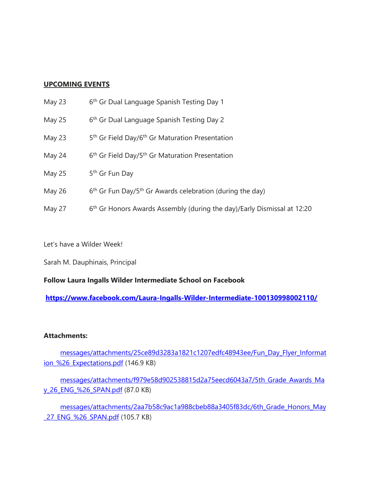## **UPCOMING EVENTS**

- $M$ ay 23 6<sup>th</sup> Gr Dual Language Spanish Testing Day 1
- May  $25$ 6<sup>th</sup> Gr Dual Language Spanish Testing Day 2
- May  $23$ 5<sup>th</sup> Gr Field Day/6<sup>th</sup> Gr Maturation Presentation
- May  $24$  $6<sup>th</sup>$  Gr Field Day/5<sup>th</sup> Gr Maturation Presentation
- $May<sub>25</sub>$ 5<sup>th</sup> Gr Fun Day
- May  $26$  $6<sup>th</sup>$  Gr Fun Day/5<sup>th</sup> Gr Awards celebration (during the day)
- May 27  $6<sup>th</sup>$  Gr Honors Awards Assembly (during the day)/Early Dismissal at 12:20

Let's have a Wilder Week!

Sarah M. Dauphinais, Principal

### **Follow Laura Ingalls Wilder Intermediate School on Facebook**

**[https://www.facebook.com/Laura-Ingalls-Wilder-Intermediate-100130998002110/](https://nam04.safelinks.protection.outlook.com/?url=https%3A%2F%2Fwww.facebook.com%2FLaura-Ingalls-Wilder-Intermediate-100130998002110%2F&data=05%7C01%7Ceramos%40scuc.txed.net%7C8254f78d89164a38618f08da35b22dbb%7C0b972b505d1b4da1863b3d65adbdfd17%7C0%7C0%7C637881337477285758%7CUnknown%7CTWFpbGZsb3d8eyJWIjoiMC4wLjAwMDAiLCJQIjoiV2luMzIiLCJBTiI6Ik1haWwiLCJXVCI6Mn0%3D%7C3000%7C%7C%7C&sdata=F%2F8OwNJpsMzMukFdvuh66SccmdFykczvhtuNVX4R8DU%3D&reserved=0)**

### **Attachments:**

[messages/attachments/25ce89d3283a1821c1207edfc48943ee/Fun\\_Day\\_Flyer\\_Informat](https://nam04.safelinks.protection.outlook.com/?url=https%3A%2F%2Fstorage.googleapis.com%2Fpt06-1%2Fmessages%2Fattachments%2F25ce89d3283a1821c1207edfc48943ee%2FFun_Day_Flyer_Information_%252526_Expectations.pdf&data=05%7C01%7Ceramos%40scuc.txed.net%7C8254f78d89164a38618f08da35b22dbb%7C0b972b505d1b4da1863b3d65adbdfd17%7C0%7C0%7C637881337477285758%7CUnknown%7CTWFpbGZsb3d8eyJWIjoiMC4wLjAwMDAiLCJQIjoiV2luMzIiLCJBTiI6Ik1haWwiLCJXVCI6Mn0%3D%7C3000%7C%7C%7C&sdata=sks49sxD3tl63Lpi61wy5rHlvh9EN9Y2rr8oAKQi3Tw%3D&reserved=0) [ion\\_%26\\_Expectations.pdf](https://nam04.safelinks.protection.outlook.com/?url=https%3A%2F%2Fstorage.googleapis.com%2Fpt06-1%2Fmessages%2Fattachments%2F25ce89d3283a1821c1207edfc48943ee%2FFun_Day_Flyer_Information_%252526_Expectations.pdf&data=05%7C01%7Ceramos%40scuc.txed.net%7C8254f78d89164a38618f08da35b22dbb%7C0b972b505d1b4da1863b3d65adbdfd17%7C0%7C0%7C637881337477285758%7CUnknown%7CTWFpbGZsb3d8eyJWIjoiMC4wLjAwMDAiLCJQIjoiV2luMzIiLCJBTiI6Ik1haWwiLCJXVCI6Mn0%3D%7C3000%7C%7C%7C&sdata=sks49sxD3tl63Lpi61wy5rHlvh9EN9Y2rr8oAKQi3Tw%3D&reserved=0) (146.9 KB)

[messages/attachments/f979e58d902538815d2a75eecd6043a7/5th\\_Grade\\_Awards\\_Ma](https://nam04.safelinks.protection.outlook.com/?url=https%3A%2F%2Fstorage.googleapis.com%2Fpt06-1%2Fmessages%2Fattachments%2Ff979e58d902538815d2a75eecd6043a7%2F5th_Grade_Awards_May_26_ENG_%252526_SPAN.pdf&data=05%7C01%7Ceramos%40scuc.txed.net%7C8254f78d89164a38618f08da35b22dbb%7C0b972b505d1b4da1863b3d65adbdfd17%7C0%7C0%7C637881337477285758%7CUnknown%7CTWFpbGZsb3d8eyJWIjoiMC4wLjAwMDAiLCJQIjoiV2luMzIiLCJBTiI6Ik1haWwiLCJXVCI6Mn0%3D%7C3000%7C%7C%7C&sdata=kcSdNzTEQ2WHTLpr4BHM4zk6G49QaerfKsWhAVGkAdc%3D&reserved=0) [y\\_26\\_ENG\\_%26\\_SPAN.pdf](https://nam04.safelinks.protection.outlook.com/?url=https%3A%2F%2Fstorage.googleapis.com%2Fpt06-1%2Fmessages%2Fattachments%2Ff979e58d902538815d2a75eecd6043a7%2F5th_Grade_Awards_May_26_ENG_%252526_SPAN.pdf&data=05%7C01%7Ceramos%40scuc.txed.net%7C8254f78d89164a38618f08da35b22dbb%7C0b972b505d1b4da1863b3d65adbdfd17%7C0%7C0%7C637881337477285758%7CUnknown%7CTWFpbGZsb3d8eyJWIjoiMC4wLjAwMDAiLCJQIjoiV2luMzIiLCJBTiI6Ik1haWwiLCJXVCI6Mn0%3D%7C3000%7C%7C%7C&sdata=kcSdNzTEQ2WHTLpr4BHM4zk6G49QaerfKsWhAVGkAdc%3D&reserved=0) (87.0 KB)

[messages/attachments/2aa7b58c9ac1a988cbeb88a3405f83dc/6th\\_Grade\\_Honors\\_May](https://nam04.safelinks.protection.outlook.com/?url=https%3A%2F%2Fstorage.googleapis.com%2Fpt06-1%2Fmessages%2Fattachments%2F2aa7b58c9ac1a988cbeb88a3405f83dc%2F6th_Grade_Honors_May_27_ENG_%252526_SPAN.pdf&data=05%7C01%7Ceramos%40scuc.txed.net%7C8254f78d89164a38618f08da35b22dbb%7C0b972b505d1b4da1863b3d65adbdfd17%7C0%7C0%7C637881337477285758%7CUnknown%7CTWFpbGZsb3d8eyJWIjoiMC4wLjAwMDAiLCJQIjoiV2luMzIiLCJBTiI6Ik1haWwiLCJXVCI6Mn0%3D%7C3000%7C%7C%7C&sdata=VMUUgIvvef86Ghamkkmp9V8SuxFoXVqSyCWUsPFMqMU%3D&reserved=0) 27 ENG %26 SPAN.pdf (105.7 KB)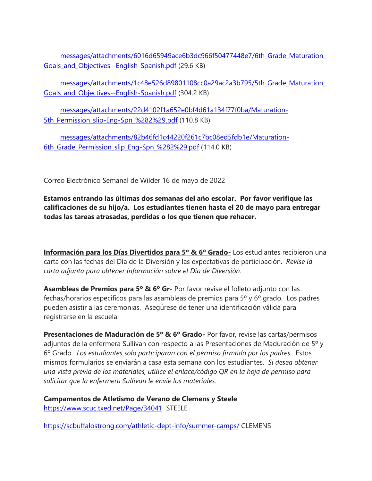[messages/attachments/6016d65949ace6b3dc966f50477448e7/6th\\_Grade\\_Maturation\\_](https://nam04.safelinks.protection.outlook.com/?url=https%3A%2F%2Fstorage.googleapis.com%2Fpt06-1%2Fmessages%2Fattachments%2F6016d65949ace6b3dc966f50477448e7%2F6th_Grade_Maturation_Goals_and_Objectives--English-Spanish.pdf&data=05%7C01%7Ceramos%40scuc.txed.net%7C8254f78d89164a38618f08da35b22dbb%7C0b972b505d1b4da1863b3d65adbdfd17%7C0%7C0%7C637881337477285758%7CUnknown%7CTWFpbGZsb3d8eyJWIjoiMC4wLjAwMDAiLCJQIjoiV2luMzIiLCJBTiI6Ik1haWwiLCJXVCI6Mn0%3D%7C3000%7C%7C%7C&sdata=mKYjTEiP0n2IDF7ur%2B3fZlsWouMWAehlt%2Bt5ZuckvnM%3D&reserved=0) Goals and Objectives--English-Spanish.pdf (29.6 KB)

[messages/attachments/1c48e526d89801108cc0a29ac2a3b795/5th\\_Grade\\_Maturation\\_](https://nam04.safelinks.protection.outlook.com/?url=https%3A%2F%2Fstorage.googleapis.com%2Fpt06-1%2Fmessages%2Fattachments%2F1c48e526d89801108cc0a29ac2a3b795%2F5th_Grade_Maturation_Goals_and_Objectives--English-Spanish.pdf&data=05%7C01%7Ceramos%40scuc.txed.net%7C8254f78d89164a38618f08da35b22dbb%7C0b972b505d1b4da1863b3d65adbdfd17%7C0%7C0%7C637881337477285758%7CUnknown%7CTWFpbGZsb3d8eyJWIjoiMC4wLjAwMDAiLCJQIjoiV2luMzIiLCJBTiI6Ik1haWwiLCJXVCI6Mn0%3D%7C3000%7C%7C%7C&sdata=M8a2gHXa5CYrLwlI0HVDx60gngOo39DvVXsA6XtuI94%3D&reserved=0) [Goals\\_and\\_Objectives--English-Spanish.pdf](https://nam04.safelinks.protection.outlook.com/?url=https%3A%2F%2Fstorage.googleapis.com%2Fpt06-1%2Fmessages%2Fattachments%2F1c48e526d89801108cc0a29ac2a3b795%2F5th_Grade_Maturation_Goals_and_Objectives--English-Spanish.pdf&data=05%7C01%7Ceramos%40scuc.txed.net%7C8254f78d89164a38618f08da35b22dbb%7C0b972b505d1b4da1863b3d65adbdfd17%7C0%7C0%7C637881337477285758%7CUnknown%7CTWFpbGZsb3d8eyJWIjoiMC4wLjAwMDAiLCJQIjoiV2luMzIiLCJBTiI6Ik1haWwiLCJXVCI6Mn0%3D%7C3000%7C%7C%7C&sdata=M8a2gHXa5CYrLwlI0HVDx60gngOo39DvVXsA6XtuI94%3D&reserved=0) (304.2 KB)

[messages/attachments/22d4102f1a652e0bf4d61a134f77f0ba/Maturation-](https://nam04.safelinks.protection.outlook.com/?url=https%3A%2F%2Fstorage.googleapis.com%2Fpt06-1%2Fmessages%2Fattachments%2F22d4102f1a652e0bf4d61a134f77f0ba%2FMaturation-5th_Permission_slip-Eng-Spn_%2525282%252529.pdf&data=05%7C01%7Ceramos%40scuc.txed.net%7C8254f78d89164a38618f08da35b22dbb%7C0b972b505d1b4da1863b3d65adbdfd17%7C0%7C0%7C637881337477285758%7CUnknown%7CTWFpbGZsb3d8eyJWIjoiMC4wLjAwMDAiLCJQIjoiV2luMzIiLCJBTiI6Ik1haWwiLCJXVCI6Mn0%3D%7C3000%7C%7C%7C&sdata=v7qNuDkkXLZ%2FfehrrxeL0fNmCeRf2FJ%2BnfMP2CmmHFc%3D&reserved=0)5th Permission slip-Eng-Spn %282%29.pdf (110.8 KB)

[messages/attachments/82b46fd1c44220f261c7bc08ed5fdb1e/Maturation-](https://nam04.safelinks.protection.outlook.com/?url=https%3A%2F%2Fstorage.googleapis.com%2Fpt06-1%2Fmessages%2Fattachments%2F82b46fd1c44220f261c7bc08ed5fdb1e%2FMaturation-6th_Grade_Permission_slip_Eng-Spn_%2525282%252529.pdf&data=05%7C01%7Ceramos%40scuc.txed.net%7C8254f78d89164a38618f08da35b22dbb%7C0b972b505d1b4da1863b3d65adbdfd17%7C0%7C0%7C637881337477285758%7CUnknown%7CTWFpbGZsb3d8eyJWIjoiMC4wLjAwMDAiLCJQIjoiV2luMzIiLCJBTiI6Ik1haWwiLCJXVCI6Mn0%3D%7C3000%7C%7C%7C&sdata=3b6GabpWdF6lyTF5G5gW8J%2BxS3MwNw76PqQlyasijj0%3D&reserved=0)[6th\\_Grade\\_Permission\\_slip\\_Eng-Spn\\_%282%29.pdf](https://nam04.safelinks.protection.outlook.com/?url=https%3A%2F%2Fstorage.googleapis.com%2Fpt06-1%2Fmessages%2Fattachments%2F82b46fd1c44220f261c7bc08ed5fdb1e%2FMaturation-6th_Grade_Permission_slip_Eng-Spn_%2525282%252529.pdf&data=05%7C01%7Ceramos%40scuc.txed.net%7C8254f78d89164a38618f08da35b22dbb%7C0b972b505d1b4da1863b3d65adbdfd17%7C0%7C0%7C637881337477285758%7CUnknown%7CTWFpbGZsb3d8eyJWIjoiMC4wLjAwMDAiLCJQIjoiV2luMzIiLCJBTiI6Ik1haWwiLCJXVCI6Mn0%3D%7C3000%7C%7C%7C&sdata=3b6GabpWdF6lyTF5G5gW8J%2BxS3MwNw76PqQlyasijj0%3D&reserved=0) (114.0 KB)

Correo Electrónico Semanal de Wilder 16 de mayo de 2022

**Estamos entrando las últimas dos semanas del año escolar. Por favor verifique las calificaciones de su hijo/a. Los estudiantes tienen hasta el 20 de mayo para entregar todas las tareas atrasadas, perdidas o los que tienen que rehacer.**

**Información para los Días Divertidos para 5º & 6º Grado-** Los estudiantes recibieron una carta con las fechas del Día de la Diversión y las expectativas de participación. *Revise la carta adjunta para obtener información sobre el Día de Diversión.*

**Asambleas de Premios para 5º & 6º Gr-** Por favor revise el folleto adjunto con las fechas/horarios específicos para las asambleas de premios para 5º y 6º grado. Los padres pueden asistir a las ceremonias. Asegúrese de tener una identificación válida para registrarse en la escuela.

**Presentaciones de Maduración de 5º & 6º Grado-** Por favor, revise las cartas/permisos adjuntos de la enfermera Sullivan con respecto a las Presentaciones de Maduración de 5º y 6º Grado. *Los estudiantes solo participaran con el permiso firmado por los padres.* Estos mismos formularios se enviarán a casa esta semana con los estudiantes. *Si desea obtener una vista previa de los materiales, utilice el enlace/código QR en la hoja de permiso para solicitar que la enfermera Sullivan le envíe los materiales.*

**Campamentos de Atletismo de Verano de Clemens y Steel[e](https://nam04.safelinks.protection.outlook.com/?url=https%3A%2F%2Fwww.scuc.txed.net%2FPage%2F34041&data=05%7C01%7Ceramos%40scuc.txed.net%7C28eb49b512284746c5cb08da35b651f6%7C0b972b505d1b4da1863b3d65adbdfd17%7C0%7C0%7C637881354797993293%7CUnknown%7CTWFpbGZsb3d8eyJWIjoiMC4wLjAwMDAiLCJQIjoiV2luMzIiLCJBTiI6Ik1haWwiLCJXVCI6Mn0%3D%7C3000%7C%7C%7C&sdata=sGxPip9xRRQA8Ic7CHDdDGMpIgabMhkUnLNkEdzX%2Fko%3D&reserved=0)** [https://www.scuc.txed.net/Page/34041](https://nam04.safelinks.protection.outlook.com/?url=https%3A%2F%2Fwww.scuc.txed.net%2FPage%2F34041&data=05%7C01%7Ceramos%40scuc.txed.net%7C28eb49b512284746c5cb08da35b651f6%7C0b972b505d1b4da1863b3d65adbdfd17%7C0%7C0%7C637881354797993293%7CUnknown%7CTWFpbGZsb3d8eyJWIjoiMC4wLjAwMDAiLCJQIjoiV2luMzIiLCJBTiI6Ik1haWwiLCJXVCI6Mn0%3D%7C3000%7C%7C%7C&sdata=sGxPip9xRRQA8Ic7CHDdDGMpIgabMhkUnLNkEdzX%2Fko%3D&reserved=0) STEELE

[https://scbuffalostrong.com/athletic-dept-info/summer-camps/](https://nam04.safelinks.protection.outlook.com/?url=https%3A%2F%2Fscbuffalostrong.com%2Fathletic-dept-info%2Fsummer-camps%2F&data=05%7C01%7Ceramos%40scuc.txed.net%7C28eb49b512284746c5cb08da35b651f6%7C0b972b505d1b4da1863b3d65adbdfd17%7C0%7C0%7C637881354797993293%7CUnknown%7CTWFpbGZsb3d8eyJWIjoiMC4wLjAwMDAiLCJQIjoiV2luMzIiLCJBTiI6Ik1haWwiLCJXVCI6Mn0%3D%7C3000%7C%7C%7C&sdata=hnmOEFJT3vcDdU5rTyr8aRtOlDcA5EsJXLZGGk2QjmU%3D&reserved=0) CLEMENS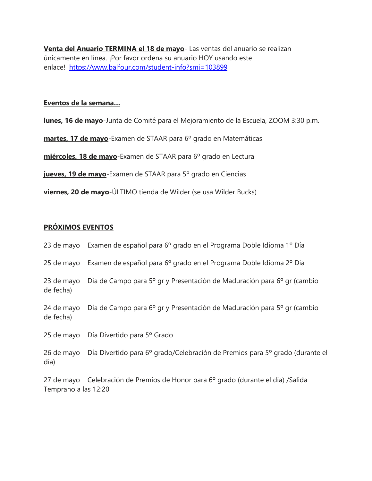**Venta del Anuario TERMINA el 18 de mayo**- Las ventas del anuario se realizan únicamente en línea. ¡Por favor ordena su anuario HOY usando este enlace! [https://www.balfour.com/student-info?smi=103899](https://nam04.safelinks.protection.outlook.com/?url=https%3A%2F%2Fwww.balfour.com%2Fstudent-info%3Fsmi%3D103899&data=05%7C01%7Ceramos%40scuc.txed.net%7C28eb49b512284746c5cb08da35b651f6%7C0b972b505d1b4da1863b3d65adbdfd17%7C0%7C0%7C637881354797993293%7CUnknown%7CTWFpbGZsb3d8eyJWIjoiMC4wLjAwMDAiLCJQIjoiV2luMzIiLCJBTiI6Ik1haWwiLCJXVCI6Mn0%3D%7C3000%7C%7C%7C&sdata=lDg6n2IXBSgiWroyGeK7b0ud5B5JSWqU8hHUKRnUymU%3D&reserved=0)

#### **Eventos de la semana…**

**lunes, 16 de mayo**-Junta de Comité para el Mejoramiento de la Escuela, ZOOM 3:30 p.m.

**martes, 17 de mayo**-Examen de STAAR para 6º grado en Matemáticas

**miércoles, 18 de mayo**-Examen de STAAR para 6º grado en Lectura

**jueves, 19 de mayo**-Examen de STAAR para 5º grado en Ciencias

**viernes, 20 de mayo**-ÚLTIMO tienda de Wilder (se usa Wilder Bucks)

# **PRÓXIMOS EVENTOS**

|                      | 23 de mayo Examen de español para 6º grado en el Programa Doble Idioma 1º Día           |
|----------------------|-----------------------------------------------------------------------------------------|
|                      | 25 de mayo Examen de español para 6º grado en el Programa Doble Idioma 2º Día           |
| de fecha)            | 23 de mayo Día de Campo para 5º gr y Presentación de Maduración para 6º gr (cambio      |
| de fecha)            | 24 de mayo Día de Campo para 6º gr y Presentación de Maduración para 5º gr (cambio      |
|                      | 25 de mayo Día Divertido para 5º Grado                                                  |
| día)                 | 26 de mayo Día Divertido para 6º grado/Celebración de Premios para 5º grado (durante el |
| Temprano a las 12:20 | 27 de mayo Celebración de Premios de Honor para 6º grado (durante el día) / Salida      |